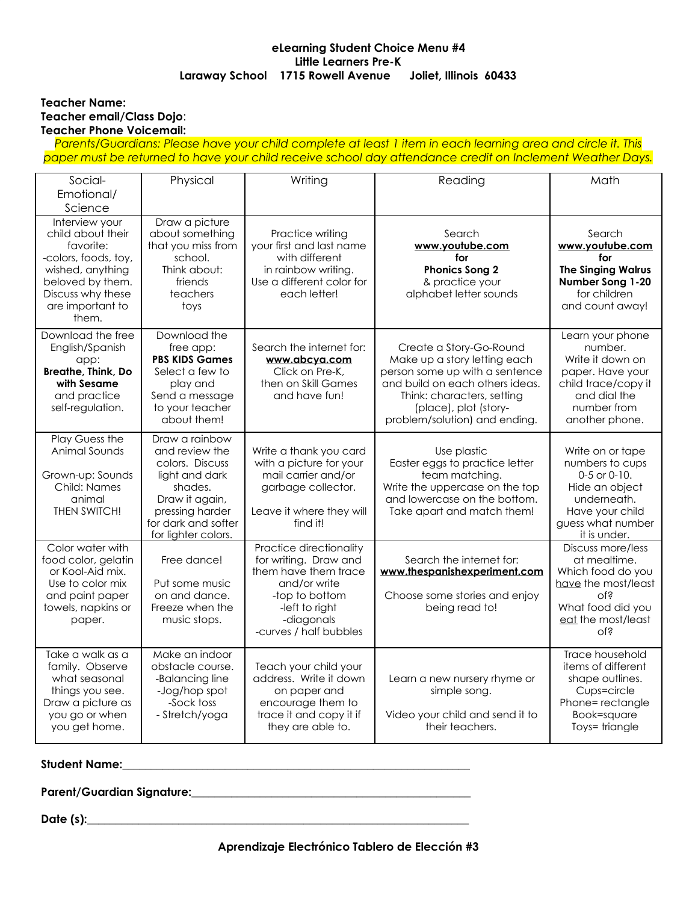# **eLearning Student Choice Menu #4 Little Learners Pre-K Laraway School 1715 Rowell Avenue Joliet, Illinois 60433**

### **Teacher Name: Teacher email/Class Dojo**: **Teacher Phone Voicemail:**

Parents/Guardians: Please have your child complete at least 1 item in each learning area and circle it. This *paper must be returned to have your child receive school day attendance credit on Inclement Weather Days.*

| Social-                                                                                                                                                            | Physical                                                                                                                                                            | Writing                                                                                                                                                              | Reading                                                                                                                                                                                                              | Math                                                                                                                                              |
|--------------------------------------------------------------------------------------------------------------------------------------------------------------------|---------------------------------------------------------------------------------------------------------------------------------------------------------------------|----------------------------------------------------------------------------------------------------------------------------------------------------------------------|----------------------------------------------------------------------------------------------------------------------------------------------------------------------------------------------------------------------|---------------------------------------------------------------------------------------------------------------------------------------------------|
| Emotional/                                                                                                                                                         |                                                                                                                                                                     |                                                                                                                                                                      |                                                                                                                                                                                                                      |                                                                                                                                                   |
| Science                                                                                                                                                            |                                                                                                                                                                     |                                                                                                                                                                      |                                                                                                                                                                                                                      |                                                                                                                                                   |
| Interview your<br>child about their<br>favorite:<br>-colors, foods, toy,<br>wished, anything<br>beloved by them.<br>Discuss why these<br>are important to<br>them. | Draw a picture<br>about something<br>that you miss from<br>school.<br>Think about:<br>friends<br>teachers<br>toys                                                   | Practice writing<br>your first and last name<br>with different<br>in rainbow writing.<br>Use a different color for<br>each letter!                                   | Search<br>www.youtube.com<br>for<br><b>Phonics Song 2</b><br>& practice your<br>alphabet letter sounds                                                                                                               | Search<br>www.youtube.com<br>for<br><b>The Singing Walrus</b><br>Number Song 1-20<br>for children<br>and count away!                              |
| Download the free<br>English/Spanish<br>app:<br>Breathe, Think, Do<br>with Sesame<br>and practice<br>self-regulation.                                              | Download the<br>free app:<br><b>PBS KIDS Games</b><br>Select a few to<br>play and<br>Send a message<br>to your teacher<br>about them!                               | Search the internet for:<br>www.abcya.com<br>Click on Pre-K,<br>then on Skill Games<br>and have fun!                                                                 | Create a Story-Go-Round<br>Make up a story letting each<br>person some up with a sentence<br>and build on each others ideas.<br>Think: characters, setting<br>(place), plot (story-<br>problem/solution) and ending. | Learn your phone<br>number.<br>Write it down on<br>paper. Have your<br>child trace/copy it<br>and dial the<br>number from<br>another phone.       |
| Play Guess the<br>Animal Sounds<br>Grown-up: Sounds<br>Child: Names<br>animal<br>THEN SWITCH!                                                                      | Draw a rainbow<br>and review the<br>colors. Discuss<br>light and dark<br>shades.<br>Draw it again,<br>pressing harder<br>for dark and softer<br>for lighter colors. | Write a thank you card<br>with a picture for your<br>mail carrier and/or<br>garbage collector.<br>Leave it where they will<br>find it!                               | Use plastic<br>Easter eggs to practice letter<br>team matching.<br>Write the uppercase on the top<br>and lowercase on the bottom.<br>Take apart and match them!                                                      | Write on or tape<br>numbers to cups<br>$0-5$ or $0-10$ .<br>Hide an object<br>underneath.<br>Have your child<br>guess what number<br>it is under. |
| Color water with<br>food color, gelatin<br>or Kool-Aid mix.<br>Use to color mix<br>and paint paper<br>towels, napkins or<br>paper.                                 | Free dance!<br>Put some music<br>on and dance.<br>Freeze when the<br>music stops.                                                                                   | Practice directionality<br>for writing. Draw and<br>them have them trace<br>and/or write<br>-top to bottom<br>-left to right<br>-diagonals<br>-curves / half bubbles | Search the internet for:<br>www.thespanishexperiment.com<br>Choose some stories and enjoy<br>being read to!                                                                                                          | Discuss more/less<br>at mealtime.<br>Which food do you<br>have the most/least<br>of?<br>What food did you<br>eat the most/least<br>$Q_{\text{L}}$ |
| Take a walk as a<br>family. Observe<br>what seasonal<br>things you see.<br>Draw a picture as<br>you go or when<br>you get home.                                    | Make an indoor<br>obstacle course.<br>-Balancing line<br>-Jog/hop spot<br>-Sock toss<br>- Stretch/yoga                                                              | Teach your child your<br>address. Write it down<br>on paper and<br>encourage them to<br>trace it and copy it if<br>they are able to.                                 | Learn a new nursery rhyme or<br>simple song.<br>Video your child and send it to<br>their teachers.                                                                                                                   | Trace household<br>items of different<br>shape outlines.<br>Cups=circle<br>Phone=rectangle<br>Book=square<br>Toys=triangle                        |

# **Student Name: Name**:

**Parent/Guardian Signature:\_\_\_\_\_\_\_\_\_\_\_\_\_\_\_\_\_\_\_\_\_\_\_\_\_\_\_\_\_\_\_\_\_\_\_\_\_\_\_\_\_\_\_\_\_\_\_\_\_**

**Date (s):\_\_\_\_\_\_\_\_\_\_\_\_\_\_\_\_\_\_\_\_\_\_\_\_\_\_\_\_\_\_\_\_\_\_\_\_\_\_\_\_\_\_\_\_\_\_\_\_\_\_\_\_\_\_\_\_\_\_\_\_\_\_\_\_\_\_\_**